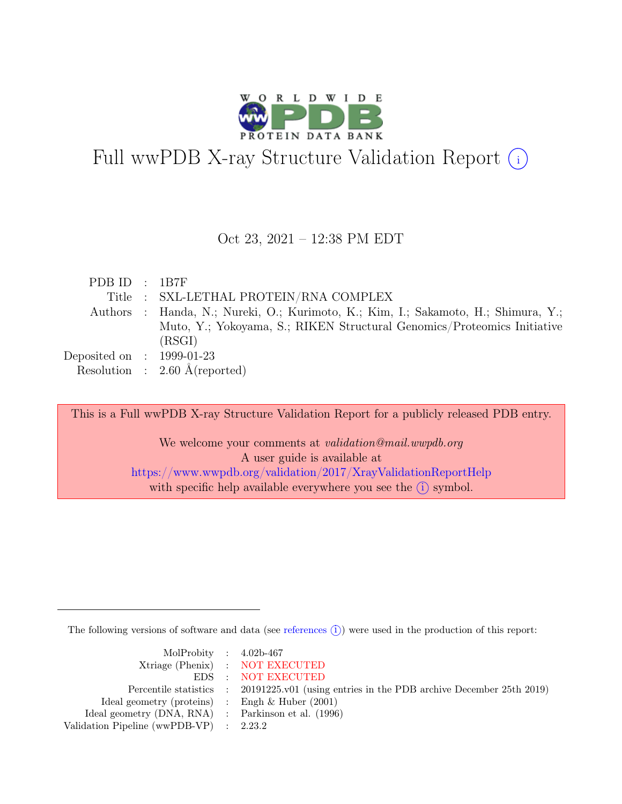

# Full wwPDB X-ray Structure Validation Report  $(i)$

#### Oct 23, 2021 – 12:38 PM EDT

| PDB ID : 1B7F               |                                                                                    |
|-----------------------------|------------------------------------------------------------------------------------|
|                             | Title : SXL-LETHAL PROTEIN/RNA COMPLEX                                             |
|                             | Authors : Handa, N.; Nureki, O.; Kurimoto, K.; Kim, I.; Sakamoto, H.; Shimura, Y.; |
|                             | Muto, Y.; Yokoyama, S.; RIKEN Structural Genomics/Proteomics Initiative            |
|                             | (RSGI)                                                                             |
| Deposited on : $1999-01-23$ |                                                                                    |
|                             | Resolution : $2.60 \text{ Å}$ (reported)                                           |

This is a Full wwPDB X-ray Structure Validation Report for a publicly released PDB entry. We welcome your comments at *validation@mail.wwpdb.org* A user guide is available at <https://www.wwpdb.org/validation/2017/XrayValidationReportHelp> with specific help available everywhere you see the  $(i)$  symbol.

The following versions of software and data (see [references](https://www.wwpdb.org/validation/2017/XrayValidationReportHelp#references)  $(i)$ ) were used in the production of this report:

| MolProbity : $4.02b-467$                            |                                                                                            |
|-----------------------------------------------------|--------------------------------------------------------------------------------------------|
|                                                     | Xtriage (Phenix) : NOT EXECUTED                                                            |
|                                                     | EDS : NOT EXECUTED                                                                         |
|                                                     | Percentile statistics : 20191225.v01 (using entries in the PDB archive December 25th 2019) |
| Ideal geometry (proteins) :                         | Engh & Huber $(2001)$                                                                      |
| Ideal geometry (DNA, RNA) : Parkinson et al. (1996) |                                                                                            |
| Validation Pipeline (wwPDB-VP) : $2.23.2$           |                                                                                            |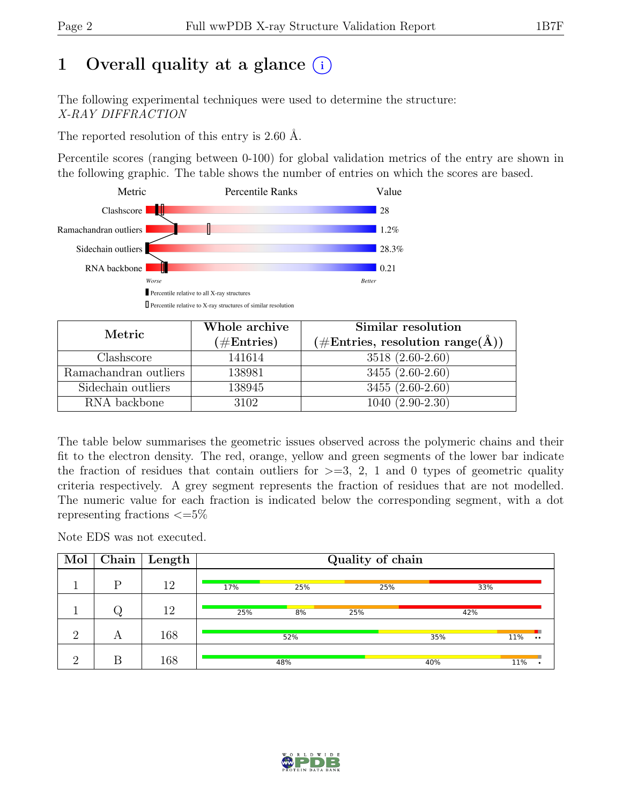# 1 Overall quality at a glance  $(i)$

The following experimental techniques were used to determine the structure: X-RAY DIFFRACTION

The reported resolution of this entry is 2.60 Å.

Percentile scores (ranging between 0-100) for global validation metrics of the entry are shown in the following graphic. The table shows the number of entries on which the scores are based.



| Metric                | Whole archive<br>$(\#\text{Entries})$ | Similar resolution<br>$(\# \text{Entries}, \text{ resolution range}(\AA))$ |
|-----------------------|---------------------------------------|----------------------------------------------------------------------------|
| Clashscore            | 141614                                | 3518 (2.60-2.60)                                                           |
| Ramachandran outliers | 138981                                | $3455(2.60-2.60)$                                                          |
| Sidechain outliers    | 138945                                | $3455(2.60-2.60)$                                                          |
| RNA backbone          | 3102                                  | $1040(2.90-2.30)$                                                          |

The table below summarises the geometric issues observed across the polymeric chains and their fit to the electron density. The red, orange, yellow and green segments of the lower bar indicate the fraction of residues that contain outliers for  $>=$  3, 2, 1 and 0 types of geometric quality criteria respectively. A grey segment represents the fraction of residues that are not modelled. The numeric value for each fraction is indicated below the corresponding segment, with a dot representing fractions  $\leq=5\%$ 

Note EDS was not executed.

| Mol      | Chain | Length |     |     | Quality of chain |     |                         |
|----------|-------|--------|-----|-----|------------------|-----|-------------------------|
|          | D     | 12     | 17% | 25% | 25%              |     | 33%                     |
|          |       | 12     | 25% | 8%  | 25%              | 42% |                         |
| റ        | A     | 168    |     | 52% |                  | 35% | 11%<br>$\bullet\bullet$ |
| $\Omega$ | R     | 168    |     | 48% |                  | 40% | 11%                     |

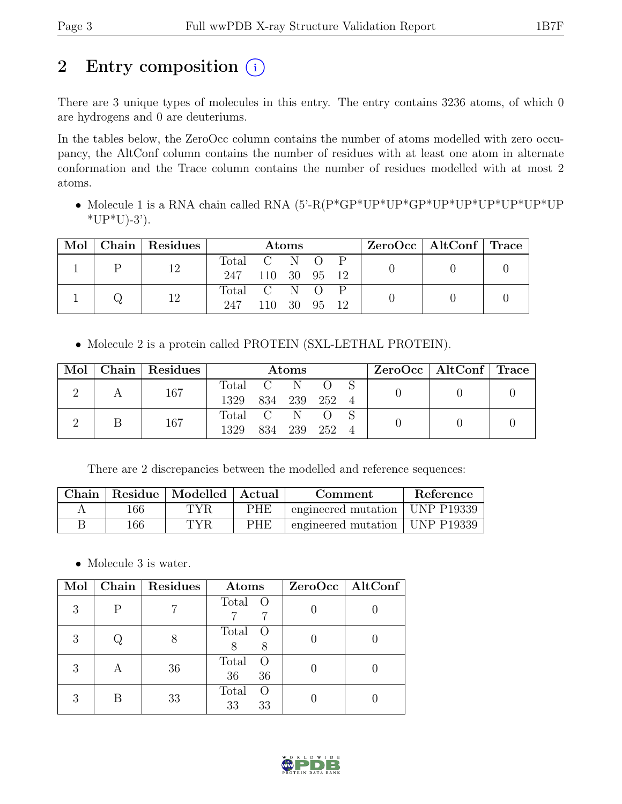## 2 Entry composition  $(i)$

There are 3 unique types of molecules in this entry. The entry contains 3236 atoms, of which 0 are hydrogens and 0 are deuteriums.

In the tables below, the ZeroOcc column contains the number of atoms modelled with zero occupancy, the AltConf column contains the number of residues with at least one atom in alternate conformation and the Trace column contains the number of residues modelled with at most 2 atoms.

• Molecule 1 is a RNA chain called RNA (5'-R(P\*GP\*UP\*UP\*GP\*UP\*UP\*UP\*UP\*UP\*UP  $*UP*U$ -3').

|  |    | Mol   Chain   Residues | Atoms            |      |      | $\text{ZeroOcc} \mid \text{AltConf} \mid \text{Trace}$ |  |  |  |
|--|----|------------------------|------------------|------|------|--------------------------------------------------------|--|--|--|
|  | 12 | Total C N O            |                  |      |      |                                                        |  |  |  |
|  |    |                        | 247 110 30 95 12 |      |      |                                                        |  |  |  |
|  |    | 12                     | Total C N O      |      |      |                                                        |  |  |  |
|  |    |                        | 247              | 110. | - 30 | - 95                                                   |  |  |  |

• Molecule 2 is a protein called PROTEIN (SXL-LETHAL PROTEIN).

| Mol |     | Chain Residues | $\rm{Atoms}$       |               |     |  |  | ZeroOcc   AltConf   Trace |  |
|-----|-----|----------------|--------------------|---------------|-----|--|--|---------------------------|--|
|     |     | 167            | Total C            |               | - N |  |  |                           |  |
|     |     |                | 1329 834 239 252 4 |               |     |  |  |                           |  |
|     |     |                | Total C            |               |     |  |  |                           |  |
|     | 167 | 1329           |                    | 834 239 252 4 |     |  |  |                           |  |

There are 2 discrepancies between the modelled and reference sequences:

|     | Chain   Residue   Modelled   Actual |            | Comment                          | Reference |
|-----|-------------------------------------|------------|----------------------------------|-----------|
| 166 | TYR                                 | <b>PHE</b> | engineered mutation   UNP P19339 |           |
| 166 | TYR                                 | <b>PHE</b> | engineered mutation   UNP P19339 |           |

• Molecule 3 is water.

| Mol |   | Chain   Residues | Atoms                                 | $ZeroOcc$   AltConf |
|-----|---|------------------|---------------------------------------|---------------------|
| 3   | P |                  | Total O<br>7                          |                     |
| 3   |   |                  | Total<br>$\left( \right)$<br>8        |                     |
| 3   |   | 36               | Total<br>$\cup$<br>36<br>36           |                     |
| 3   |   | 33               | Total<br>$\left( \right)$<br>33<br>33 |                     |

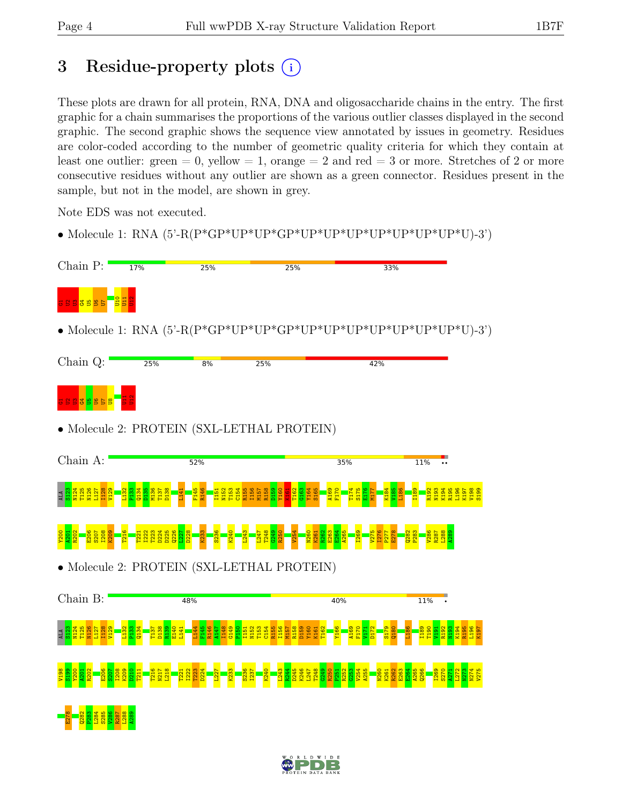# 3 Residue-property plots  $(i)$

These plots are drawn for all protein, RNA, DNA and oligosaccharide chains in the entry. The first graphic for a chain summarises the proportions of the various outlier classes displayed in the second graphic. The second graphic shows the sequence view annotated by issues in geometry. Residues are color-coded according to the number of geometric quality criteria for which they contain at least one outlier: green  $= 0$ , yellow  $= 1$ , orange  $= 2$  and red  $= 3$  or more. Stretches of 2 or more consecutive residues without any outlier are shown as a green connector. Residues present in the sample, but not in the model, are shown in grey.

Note EDS was not executed.

• Molecule 1: RNA  $(5'-R(P*GP*UP*UP*GP*UP*UP*UP*UP*UP*UP*UP*UP*UP*UP*UP*U)-3')$ 

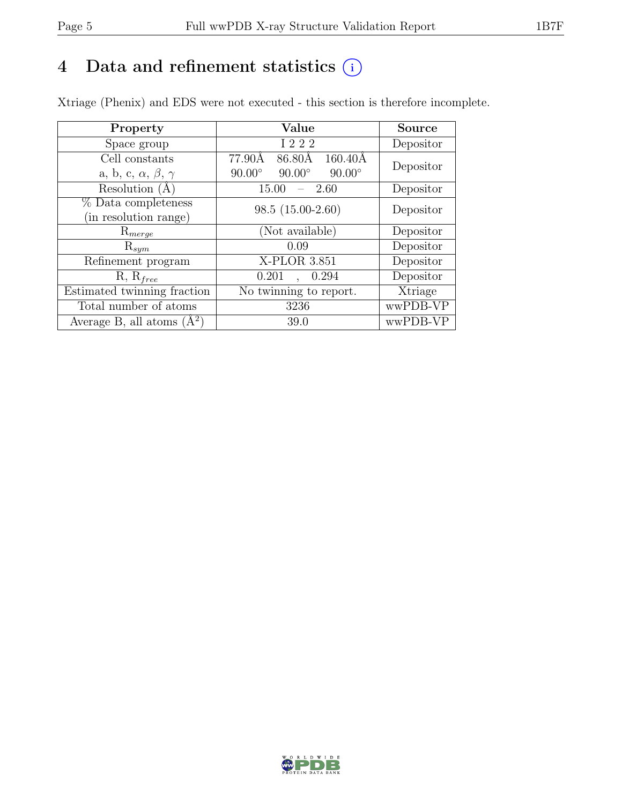### 4 Data and refinement statistics  $(i)$

Xtriage (Phenix) and EDS were not executed - this section is therefore incomplete.

| Property                               | Value                                           | <b>Source</b> |  |
|----------------------------------------|-------------------------------------------------|---------------|--|
| Space group                            | I 2 2 2                                         | Depositor     |  |
| Cell constants                         | 77.90Å<br>86.80Å<br>$160.40\text{\AA}$          | Depositor     |  |
| a, b, c, $\alpha$ , $\beta$ , $\gamma$ | $90.00^\circ$<br>$90.00^\circ$<br>$90.00^\circ$ |               |  |
| Resolution $(A)$                       | - 2.60<br>15.00                                 | Depositor     |  |
| % Data completeness                    | $98.5(15.00-2.60)$                              | Depositor     |  |
| (in resolution range)                  |                                                 |               |  |
| $\mathrm{R}_{merge}$                   | (Not available)                                 | Depositor     |  |
| $\mathrm{R}_{sym}$                     | 0.09                                            | Depositor     |  |
| Refinement program                     | X-PLOR 3.851                                    | Depositor     |  |
| $R, R_{free}$                          | 0.294<br>0.201                                  | Depositor     |  |
| Estimated twinning fraction            | No twinning to report.                          | Xtriage       |  |
| Total number of atoms                  | 3236                                            | wwPDB-VP      |  |
| Average B, all atoms $(A^2)$           | 39.0                                            | wwPDB-VP      |  |

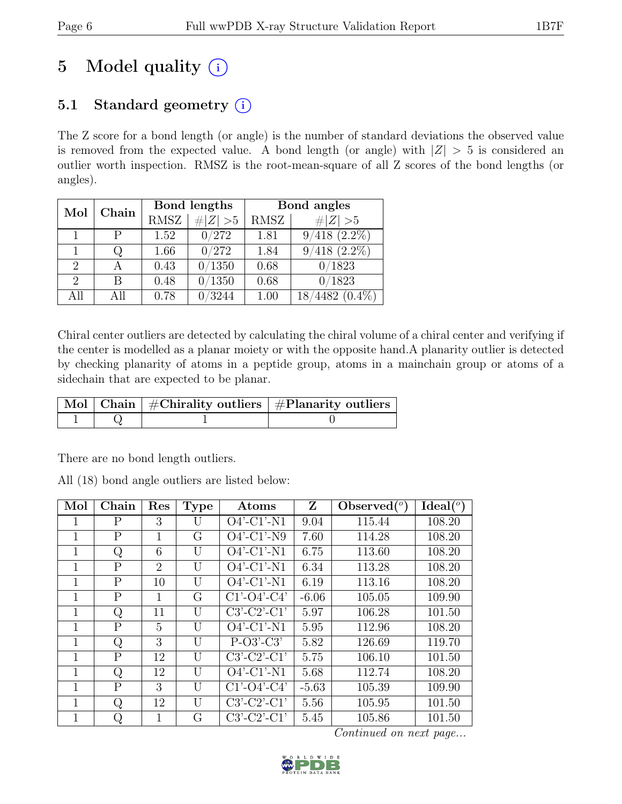# 5 Model quality  $(i)$

### 5.1 Standard geometry  $(i)$

The Z score for a bond length (or angle) is the number of standard deviations the observed value is removed from the expected value. A bond length (or angle) with  $|Z| > 5$  is considered an outlier worth inspection. RMSZ is the root-mean-square of all Z scores of the bond lengths (or angles).

| Mol                         | Chain |             | Bond lengths | Bond angles |                             |  |
|-----------------------------|-------|-------------|--------------|-------------|-----------------------------|--|
|                             |       | <b>RMSZ</b> | # $ Z  > 5$  | RMSZ        | $\ Z\  > 5$                 |  |
|                             | P     | 1.52        | 0/272        | 1.81        | $9/418$ $(2.2\%)$           |  |
|                             |       | 1.66        | 0/272        | 1.84        | $(2.2\%)$<br>$^{\prime}418$ |  |
| $\mathcal{D}_{\mathcal{L}}$ |       | 0.43        | 0/1350       | 0.68        | 0/1823                      |  |
| $\overline{2}$              | В     | 0.48        | 0/1350       | 0.68        | 0/1823                      |  |
| All                         | All   | 0.78        | 3244         | 1.00        | 4482 (<br>$(0.4\%)$         |  |

Chiral center outliers are detected by calculating the chiral volume of a chiral center and verifying if the center is modelled as a planar moiety or with the opposite hand.A planarity outlier is detected by checking planarity of atoms in a peptide group, atoms in a mainchain group or atoms of a sidechain that are expected to be planar.

|  | $\lceil \!\! \lceil \operatorname{Mol} \rceil \!\! \rceil$ Chain $\mid \#\text{Chirality outliers} \mid \#\text{Planarity outliers} \mid$ |
|--|-------------------------------------------------------------------------------------------------------------------------------------------|
|  |                                                                                                                                           |

There are no bond length outliers.

All (18) bond angle outliers are listed below:

| Mol         | Chain          | Res                         | <b>Type</b> | Atoms         | Z       | Observed $(°)$ | Ideal $(°)$ |
|-------------|----------------|-----------------------------|-------------|---------------|---------|----------------|-------------|
|             | P              | 3                           | U           | $O4'$ -C1'-N1 | 9.04    | 115.44         | 108.20      |
| 1           | $\mathbf{P}$   | 1                           | G           | $O4'$ -C1'-N9 | 7.60    | 114.28         | 108.20      |
| 1           | Q              | 6                           | U           | $O4'$ -C1'-N1 | 6.75    | 113.60         | 108.20      |
| 1           | $\mathbf{P}$   | $\mathcal{D}_{\mathcal{L}}$ | U           | $O4'$ -C1'-N1 | 6.34    | 113.28         | 108.20      |
| 1           | $\mathbf{P}$   | 10                          | U           | $O4'$ -C1'-N1 | 6.19    | 113.16         | 108.20      |
| 1           | $\overline{P}$ | 1                           | G           | $C1'-O4'-C4'$ | $-6.06$ | 105.05         | 109.90      |
| 1           | Q              | 11                          | U           | $C3'-C2'-C1'$ | 5.97    | 106.28         | 101.50      |
| 1           | $\mathsf{P}$   | 5                           | U           | $O4'$ -C1'-N1 | 5.95    | 112.96         | 108.20      |
| $\mathbf 1$ | Q              | 3                           | U           | $P-O3'-C3'$   | 5.82    | 126.69         | 119.70      |
| 1           | $\mathbf{P}$   | 12                          | U           | $C3'-C2'-C1'$ | 5.75    | 106.10         | 101.50      |
| 1           | Q              | 12                          | U           | $O4'$ -C1'-N1 | 5.68    | 112.74         | 108.20      |
|             | $\mathbf{P}$   | 3                           | U           | $C1'-O4'-C4'$ | $-5.63$ | 105.39         | 109.90      |
| 1           | Q              | 12                          | U           | $C3'-C2'-C1'$ | 5.56    | 105.95         | 101.50      |
| 1           | Q              | 1                           | G           | $C3'-C2'-C1'$ | 5.45    | 105.86         | 101.50      |

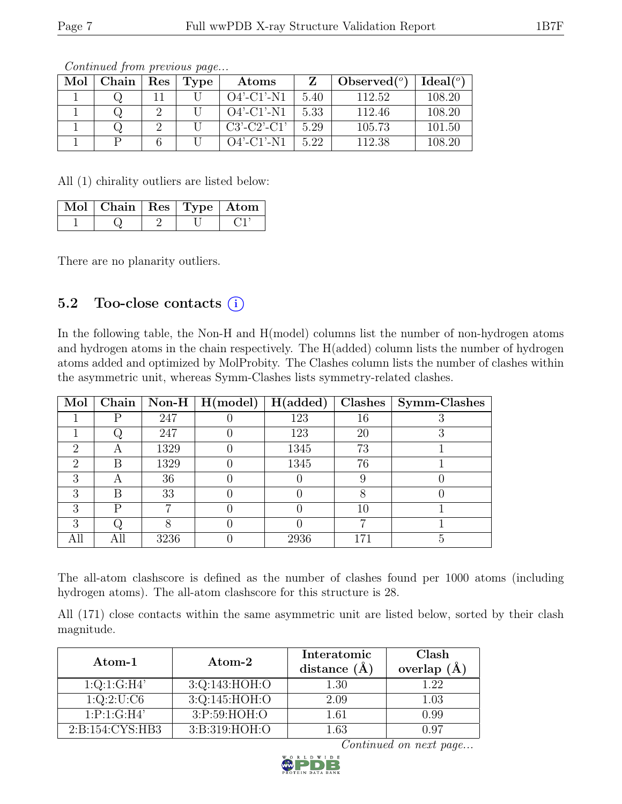| Mol | Chain | Res | Type | Atoms         |      | Observed $(^\circ)$ | Ideal(°) |
|-----|-------|-----|------|---------------|------|---------------------|----------|
|     |       |     |      | $O4'$ -C1'-N1 | 5.40 | 112.52              | 108.20   |
|     |       |     |      | $O4'$ -C1'-N1 | 5.33 | 112.46              | 108.20   |
|     |       |     |      | $C3'-C2'-C1'$ | 5.29 | 105.73              | 101.50   |
|     |       |     |      | $O4'$ -C1'-N1 | 5.22 | 112.38              | 108.20   |

All (1) chirality outliers are listed below:

| Mol   Chain   Res   Type   Atom |  |  |
|---------------------------------|--|--|
|                                 |  |  |

There are no planarity outliers.

#### 5.2 Too-close contacts  $(i)$

In the following table, the Non-H and H(model) columns list the number of non-hydrogen atoms and hydrogen atoms in the chain respectively. The H(added) column lists the number of hydrogen atoms added and optimized by MolProbity. The Clashes column lists the number of clashes within the asymmetric unit, whereas Symm-Clashes lists symmetry-related clashes.

| Mol                         | Chain |      | $\vert$ Non-H $\vert$ H(model) | H(added) | Clashes | Symm-Clashes |
|-----------------------------|-------|------|--------------------------------|----------|---------|--------------|
|                             | D     | 247  |                                | 123      | 16      |              |
|                             |       | 247  |                                | 123      | 20      |              |
| 2                           | Α     | 1329 |                                | 1345     | 73      |              |
| $\mathcal{D}_{\mathcal{L}}$ | В     | 1329 |                                | 1345     | 76      |              |
| З                           | А     | 36   |                                |          |         |              |
| 3                           | B     | 33   |                                |          |         |              |
| 3                           | D     |      |                                |          | 10      |              |
| 3                           |       |      |                                |          | −       |              |
|                             |       | 3236 |                                | 2936     |         | h            |

The all-atom clashscore is defined as the number of clashes found per 1000 atoms (including hydrogen atoms). The all-atom clashscore for this structure is 28.

All (171) close contacts within the same asymmetric unit are listed below, sorted by their clash magnitude.

| Atom-1              | Atom-2          | Interatomic<br>distance $(A)$ | Clash<br>overlap $(\AA)$ |
|---------------------|-----------------|-------------------------------|--------------------------|
| 1:Q:1:G:H4'         | 3:Q:143:HOH:O   | 1.30                          | 1.22                     |
| 1:Q:2:U:C6          | 3:Q:145:HOH:O   | 2.09                          | 1.03                     |
| 1:P:1:G:H4'         | 3:P:59:HOH:O    | 1.61                          | 0.99                     |
| 2: B: 154: CYS: HB3 | 3: B:319: HOH:O | $1.63\,$                      | (197)                    |

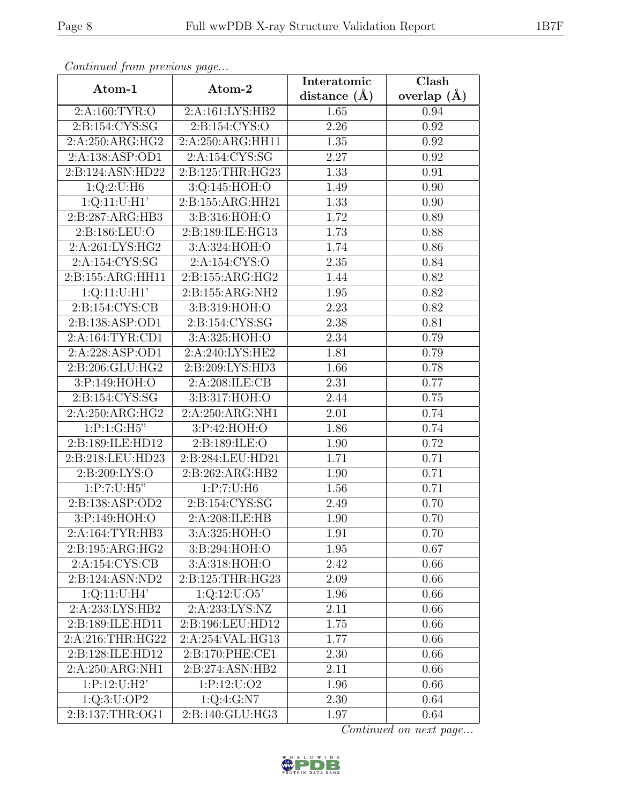| Continuea from previous page |                                | Interatomic       | Clash         |
|------------------------------|--------------------------------|-------------------|---------------|
| Atom-1                       | Atom-2                         | distance $(A)$    | overlap $(A)$ |
| 2:A:160:TYR:O                | 2:A:161:LYS:HB2                | 1.65              | 0.94          |
| 2: B: 154: CYS: SG           | 2:Bi:154:CYS:O                 | 2.26              | 0.92          |
| 2:A:250:ARG:HG2              | 2:A:250:ARG:HH11               | 1.35              | 0.92          |
| 2:A:138:ASP:OD1              | 2:A:154:CYS:SG                 | 2.27              | 0.92          |
| 2:B:124:ASN:HD22             | 2:B:125:THR:HG23               | 1.33              | 0.91          |
| 1:Q:2:U:H6                   | 3:Q:145:HOH:O                  | 1.49              | 0.90          |
| 1:Q:11:U:H1'                 | 2:B:155:ARG:HH21               | $\overline{1}.33$ | 0.90          |
| 2:B:287:ARG:HB3              | 3:B:316:HOH:O                  | 1.72              | 0.89          |
| 2:B:186:LEU:O                | 2:B:189:ILE:HG13               | 1.73              | 0.88          |
| 2:A:261:LYS:HG2              | 3:A:324:HOH:O                  | 1.74              | 0.86          |
| 2:A:154:CYS:SG               | 2:A:154:CYS:O                  | 2.35              | 0.84          |
| 2:B:155:ARG:HH11             | 2:B:155:ARG:HG2                | 1.44              | 0.82          |
| 1:Q:11:U:H1'                 | 2:B:155:ARG:NH2                | 1.95              | 0.82          |
| 2: B: 154: CYS: CB           | 3:B:319:HOH:O                  | 2.23              | 0.82          |
| 2:B:138:ASP:OD1              | 2:B:154:CYS:SG                 | 2.38              | 0.81          |
| 2:A:164:TYR:CD1              | 3:A:325:HOH:O                  | 2.34              | 0.79          |
| 2:A:228:ASP:OD1              | 2:A:240:LYS:HE2                | 1.81              | 0.79          |
| 2:B:206:GLU:HG2              | 2: B:209: LYS: HD3             | 1.66              | 0.78          |
| 3:P:149:HOH:O                | 2:A:208:ILE:CB                 | 2.31              | 0.77          |
| 2:B:154:CYS:SG               | 3:B:317:HOH:O                  | 2.44              | 0.75          |
| 2:A:250:ARG:HG2              | $2:A:\overline{250:ARG:NH1}$   | 2.01              | 0.74          |
| $1: P: 1: \overline{G:H5"$   | 3:P:42:HOH:O                   | 1.86              | 0.74          |
| 2:B:189:ILE:HD12             | 2:B:189:ILE:O                  | 1.90              | 0.72          |
| 2:B:218:LEU:HD23             | 2:B:284:LEU:HD21               | 1.71              | 0.71          |
| 2:B:209:LYS:O                | $2:B:262:AR\overline{G:HB2}$   | 1.90              | 0.71          |
| 1:P:7:U:H5"                  | 1:P:7:U:H6                     | 1.56              | 0.71          |
| 2:B:138:ASP:OD2              | 2:B:154:CYS:SG                 | 2.49              | 0.70          |
| $3:$ P:149:HOH:O             | 2:A:208:ILE:HB                 | 1.90              | 0.70          |
| 2:A:164:TYR:HB3              | 3:A:325:HOH:O                  | 1.91              | 0.70          |
| 2:B:195:ARG:HG2              | 3:B:294:HOH:O                  | 1.95              | 0.67          |
| 2:A:154:CYS:CB               | 3:A:318:HOH:O                  | 2.42              | 0.66          |
| 2:B:124:ASN:ND2              | 2:B:125:THR:HG23               | 2.09              | 0.66          |
| 1:Q:11:U:H4'                 | 1:Q:12:U:O5'                   | 1.96              | 0.66          |
| 2:A:233:LYS:HB2              | 2:A:233:LYS:NZ                 | 2.11              | 0.66          |
| 2:B:189:ILE:HD11             | 2:B:196:LEU:HD12               | 1.75              | 0.66          |
| 2:A:216:THR:HG22             | 2:A:254:VAL:HG13               | 1.77              | 0.66          |
| 2:B:128:ILE:HD12             | 2:B:170:PHE:CE1                | 2.30              | 0.66          |
| 2:A:250:ARG:NH1              | $2: B:274: \overline{ASN:HB2}$ | 2.11              | 0.66          |
| 1:P:12:U:H2'                 | 1:P:12:U:O2                    | 1.96              | 0.66          |
| 1:Q:3:U:OP2                  | 1:Q:4:G:N7                     | 2.30              | 0.64          |
| 2:B:137:THR:OG1              | 2:B:140:GLU:HG3                | 1.97              | 0.64          |

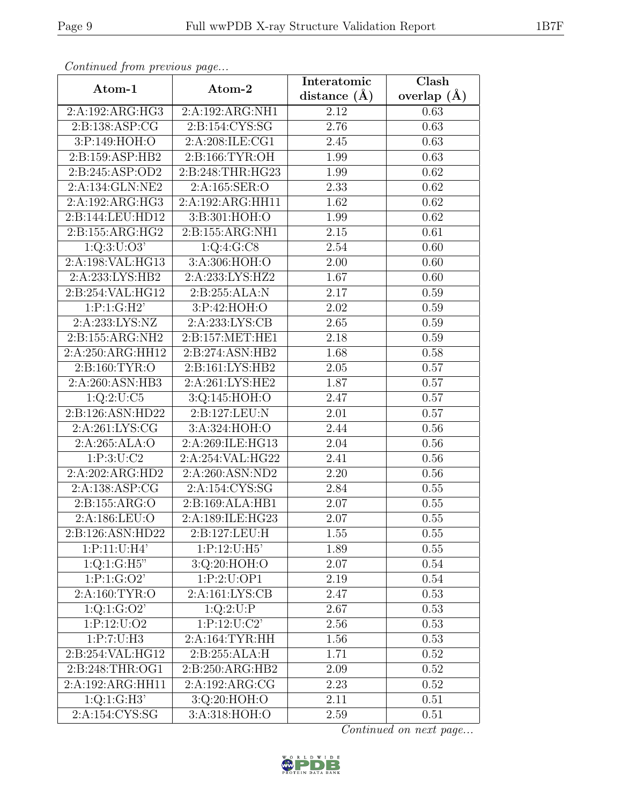| Continua from previous page |                              | Interatomic       | $\overline{\text{Clash}}$ |  |
|-----------------------------|------------------------------|-------------------|---------------------------|--|
| Atom-1                      | Atom-2                       | distance $(\AA)$  | overlap $(A)$             |  |
| 2:A:192:ARG:HG3             | 2:A:192:ARG:NH1              | 2.12              | 0.63                      |  |
| 2: B: 138: ASP: CG          | 2:B:154:CYS:SG               | 2.76              | 0.63                      |  |
| 3:P:149:HOH:O               | 2:A:208:ILE:CG1              | 2.45              | 0.63                      |  |
| 2:B:159:ASP:HB2             | 2:B:166:TYR:OH               | 1.99              | 0.63                      |  |
| 2:B:245:ASP:OD2             | 2:B:248:THR:HG23             | 1.99              | 0.62                      |  |
| 2:A:134:GLN:NE2             | 2:A:165:SER:O                | 2.33              | 0.62                      |  |
| 2:A:192:ARG:HG3             | 2:A:192:ARG:HH11             | 1.62              | 0.62                      |  |
| 2:B:144:LEU:HD12            | 3:B:301:HOH:O                | 1.99              | 0.62                      |  |
| 2:B:155:ARG:HG2             | 2:B:155:ARG:NH1              | $\overline{2.15}$ | $\overline{0.61}$         |  |
| $1:Q:3:\overline{U:O3'}$    | 1:Q:4:G:CS                   | 2.54              | 0.60                      |  |
| 2:A:198:VAL:HG13            | 3: A:306: HOH:O              | 2.00              | 0.60                      |  |
| 2:A:233:LYS:HB2             | $2:A:23\overline{3:LYS:HZ2}$ | 1.67              | 0.60                      |  |
| 2:B:254:VAL:HG12            | 2: B: 255: ALA: N            | 2.17              | 0.59                      |  |
| 1:P:1:G:H2'                 | 3:P:42:HOH:O                 | 2.02              | 0.59                      |  |
| 2:A:233:LYS:NZ              | 2:A:233:LYS:CB               | 2.65              | 0.59                      |  |
| 2:B:155:ARG:NH2             | 2:B:157:MET:HE1              | 2.18              | 0.59                      |  |
| 2:A:250:ARG:HH12            | 2:B:274:ASN:HB2              | 1.68              | 0.58                      |  |
| 2:B:160:TYR:O               | 2:B:161:LYS:HB2              | 2.05              | 0.57                      |  |
| 2:A:260:ASN:HB3             | 2:A:261:LYS:HE2              | 1.87              | 0.57                      |  |
| 1:Q:2:U:C5                  | 3:Q:145:HOH:O                | 2.47              | 0.57                      |  |
| 2:B:126:ASN:HD22            | 2:B:127:LEU:N                | 2.01              | 0.57                      |  |
| 2:A:261:LYS:CG              | 3:A:324:HOH:O                | 2.44              | 0.56                      |  |
| 2:A:265:ALA:O               | 2:A:269:ILE:HG13             | 2.04              | 0.56                      |  |
| 1: P:3: U: C2               | 2:A:254:VAL:HG22             | 2.41              | 0.56                      |  |
| 2:A:202:ARG:HD2             | 2:A:260:ASN:ND2              | 2.20              | 0.56                      |  |
| 2:A:138:ASP:CG              | 2:A:154:CYS:SG               | 2.84              | 0.55                      |  |
| 2: B: 155: ARG: O           | 2:B:169:ALA:HB1              | 2.07              | 0.55                      |  |
| 2:A:186:LEU:O               | 2:A:189:ILE:HG23             | 2.07              | 0.55                      |  |
| 2:B:126:ASN:HD22            | 2:B:127:LEU:H                | 1.55              | 0.55                      |  |
| 1:P:11:U:H4'                | 1:P:12:U:H5'                 | 1.89              | 0.55                      |  |
| 1:Q:1:G:H5"                 | 3:Q:20:HOH:O                 | 2.07              | 0.54                      |  |
| 1:P:1:G:O2'                 | 1:P:2:U:OP1                  | 2.19              | 0.54                      |  |
| 2:A:160:TYR:O               | 2:A:161:LYS:CB               | 2.47              | 0.53                      |  |
| 1:Q:1:G:O2'                 | 1:Q:2:U:P                    | 2.67              | 0.53                      |  |
| 1:P:12:U:O2                 | 1:P:12:U:C2'                 | 2.56              | 0.53                      |  |
| 1:P:7:U:H3                  | 2:A:164:TYR:HH               | 1.56              | 0.53                      |  |
| 2:B:254:VAL:HG12            | 2: B:255:ALA:H               | 1.71              | 0.52                      |  |
| 2:B:248:THR:OG1             | 2:B:250:ARG:HB2              | 2.09              | 0.52                      |  |
| 2:A:192:ARG:HH11            | 2:A:192:ARG:CG               | 2.23              | 0.52                      |  |
| 1:Q:1:G:H3'                 | 3:Q:20:HOH:O                 | 2.11              | 0.51                      |  |
| 2:A:154:CYS:SG              | 3:A:318:HOH:O                | 2.59              | 0.51                      |  |

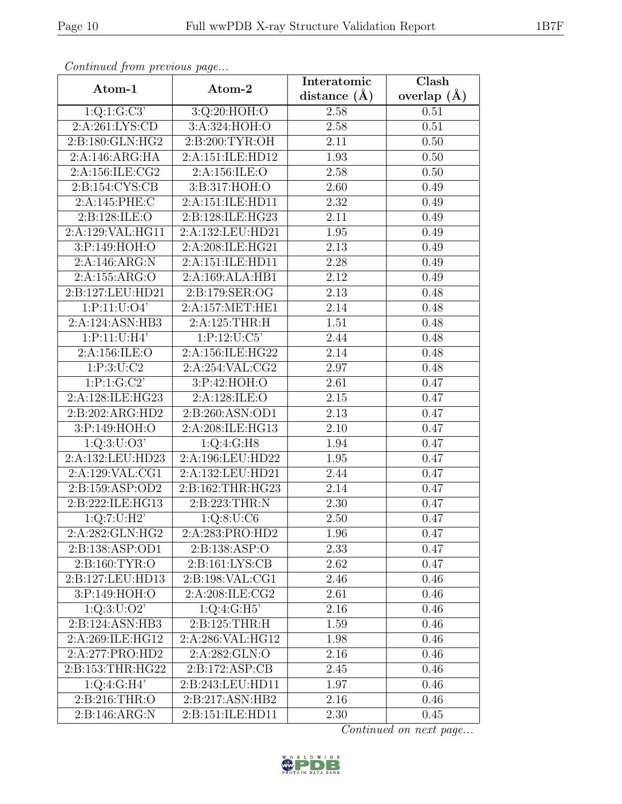| Continuation procession page |                              | Interatomic       | $\overline{\text{Clash}}$ |
|------------------------------|------------------------------|-------------------|---------------------------|
| Atom-1                       | Atom-2                       | distance $(\AA)$  | overlap $(\AA)$           |
| 1:Q:1:G:C3'                  | 3:Q:20:HOH:O                 | 2.58              | 0.51                      |
| 2:A:261:LYS:CD               | 3:A:324:HOH:O                | 2.58              | 0.51                      |
| 2:B:180:GLN:HG2              | 2:B:200:TYR:OH               | 2.11              | 0.50                      |
| 2:A:146:ARG:HA               | 2:A:151:ILE:HD12             | 1.93              | 0.50                      |
| 2:A:156:ILE:CG2              | 2:A:156:ILE:O                | 2.58              | 0.50                      |
| 2: B: 154: CYS: CB           | 3:B:317:HOH:O                | 2.60              | 0.49                      |
| 2:A:145:PHE:C                | 2:A:151:ILE:HD11             | $\overline{2.32}$ | 0.49                      |
| 2: B: 128: ILE: O            | 2:B:128:ILE:HG23             | 2.11              | 0.49                      |
| 2:A:129:VAL:HG11             | 2:A:132:LEU:HD21             | $\overline{1.95}$ | 0.49                      |
| 3:P:149:HOH:O                | 2:A:208:ILE:HG21             | 2.13              | 0.49                      |
| 2:A:146:ARG:N                | 2:A:151:ILE:HD11             | 2.28              | 0.49                      |
| 2:A:155:ARG:O                | 2:A:169:ALA:HB1              | 2.12              | 0.49                      |
| 2:B:127:LEU:HD21             | 2:B:179:SER:OG               | 2.13              | 0.48                      |
| 1:P:11:U:O4'                 | 2:A:157:MET:HE1              | 2.14              | 0.48                      |
| 2:A:124:ASN:HB3              | 2:A:125:THR:H                | $\overline{1.51}$ | 0.48                      |
| 1:P:11:U:H4'                 | 1:P:12:U:C5'                 | 2.44              | 0.48                      |
| 2:A:156:ILE:O                | 2:A:156:ILE:HG22             | 2.14              | 0.48                      |
| 1: P:3: U: C2                | 2:A:254:VAL:CG2              | 2.97              | 0.48                      |
| 1:P:1:G:C2'                  | 3:P:42:HOH:O                 | 2.61              | 0.47                      |
| 2:A:128:ILE:HG23             | 2:A:128:ILE:O                | 2.15              | 0.47                      |
| 2:B:202:ARG:HD2              | 2:B:260:ASN:OD1              | 2.13              | 0.47                      |
| 3:P:149:HOH:O                | 2:A:208:ILE:HG13             | 2.10              | 0.47                      |
| 1:Q:3:U:O3'                  | 1:Q:4:G:H8                   | 1.94              | 0.47                      |
| 2:A:132:LEU:HD23             | 2:A:196:LEU:HD22             | $\overline{1.95}$ | 0.47                      |
| 2:A:129:VAL:CG1              | 2:A:132:LEU:HD21             | 2.44              | 0.47                      |
| 2:B:159:ASP:OD2              | 2:B:162:THR:HG23             | 2.14              | 0.47                      |
| 2:B:222:ILE:HG13             | 2:B:223:THR:N                | 2.30              | 0.47                      |
| 1:Q:7:U:H2'                  | 1:Q:8:U:CG                   | 2.50              | 0.47                      |
| 2:A:282:GLN:HG2              | 2:A:283:PRO:HD2              | 1.96              | 0.47                      |
| 2:B:138:ASP:OD1              | 2:B:138:ASP:O                | 2.33              | 0.47                      |
| 2: B: 160: TYR:O             | 2: B: 161: LYS: CB           | 2.62              | 0.47                      |
| 2:B:127:LEU:HD13             | 2:B:198:VAL:CG1              | 2.46              | 0.46                      |
| 3:P:149:HOH:O                | 2:A:208:ILE:CG2              | 2.61              | 0.46                      |
| 1:Q:3:U:O2'                  | 1:Q:4:G:H5'                  | 2.16              | 0.46                      |
| 2:B:124:ASN:HB3              | 2:B:125:THR:H                | 1.59              | 0.46                      |
| 2:A:269:ILE:HG12             | 2:A:286:VAL:HG12             | 1.98              | 0.46                      |
| 2:A:277:PRO:HD2              | 2:A:282:GLN:O                | 2.16              | 0.46                      |
| 2:B:153:THR:HG22             | 2: B: 172: ASP: CB           | 2.45              | 0.46                      |
| 1:Q:4:G:H4'                  | 2:B:243:LEU:HD11             | 1.97              | 0.46                      |
| 2:B:216:THR:O                | $2:B:217:ASN:H\overline{B2}$ | 2.16              | 0.46                      |
| 2:B:146:ARG:N                | 2:B:151:ILE:HD11             | 2.30              | 0.45                      |

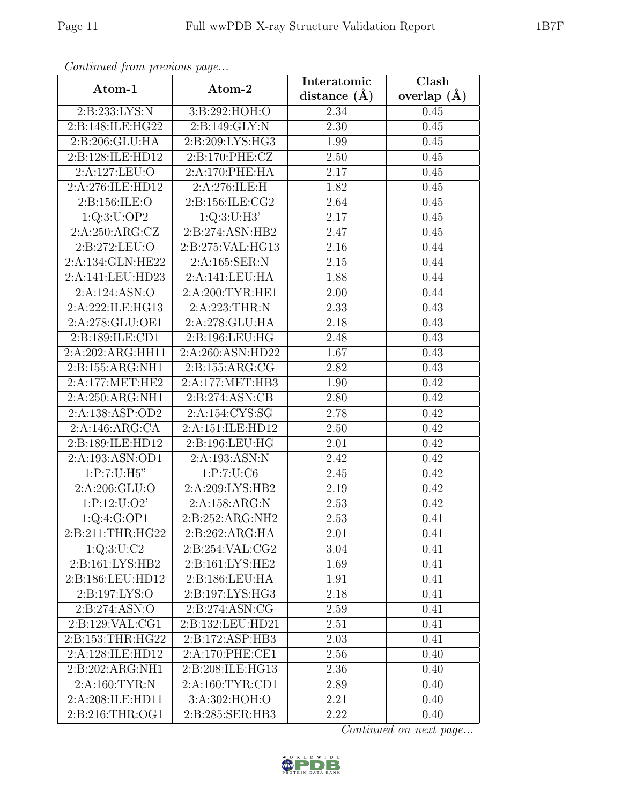| Continueu from pretious page  |                     | Interatomic       | Clash         |
|-------------------------------|---------------------|-------------------|---------------|
| Atom-1                        | Atom-2              | distance $(A)$    | overlap $(A)$ |
| 2:B:233:LYS:N                 | 3:B:292:HOH:O       | 2.34              | 0.45          |
| 2:B:148:ILE:HG22              | 2: B: 149: GLY: N   | 2.30              | 0.45          |
| 2:B:206:GLU:HA                | 2:B:209:LYS:HG3     | 1.99              | 0.45          |
| 2:B:128:ILE:HD12              | 2:B:170:PHE:CZ      | 2.50              | 0.45          |
| 2:A:127:LEU:O                 | 2:A:170:PHE:HA      | 2.17              | 0.45          |
| 2:A:276:ILE:HD12              | 2:A:276:ILE:H       | 1.82              | 0.45          |
| 2:B:156:ILE:O                 | 2: B: 156: ILE: CG2 | 2.64              | 0.45          |
| 1:Q:3:U:OP2                   | 1:Q:3:U:H3'         | 2.17              | 0.45          |
| 2:A:250:ARG:CZ                | 2:B:274:ASN:HB2     | 2.47              | 0.45          |
| 2:B:272:LEU:O                 | 2:B:275:VAL:HG13    | 2.16              | 0.44          |
| 2:A:134:GLN:HE22              | 2:A:165:SER:N       | 2.15              | 0.44          |
| 2:A:141:LEU:HD23              | 2:A:141:LEU:HA      | 1.88              | 0.44          |
| 2:A:124:ASN:O                 | 2:A:200:TYR:HE1     | 2.00              | 0.44          |
| 2:A:222:ILE:HG13              | 2:A:223:THR:N       | 2.33              | 0.43          |
| 2:A:278:GLU:OE1               | 2:A:278:GLU:HA      | 2.18              | 0.43          |
| 2:B:189:ILE:CD1               | 2:B:196:LEU:HG      | 2.48              | 0.43          |
| 2:A:202:ARG:HH11              | 2:A:260:ASN:HD22    | 1.67              | 0.43          |
| 2:B:155:ARG:NH1               | 2:B:155:ARG:CG      | 2.82              | 0.43          |
| 2:A:177:MET:HE2               | 2:A:177:MET:HB3     | 1.90              | 0.42          |
| 2:A:250:ARG:NH1               | 2:B:274:ASN:CB      | 2.80              | 0.42          |
| 2:A:138:ASP:OD2               | 2:A:154:CYS:SG      | 2.78              | 0.42          |
| 2:A:146:ARG:CA                | 2:A:151:ILE:HD12    | 2.50              | 0.42          |
| 2:B:189:ILE:HD12              | 2:B:196:LEU:HG      | 2.01              | 0.42          |
| 2:A:193:ASN:OD1               | 2:A:193:ASN:N       | 2.42              | 0.42          |
| 1:P:7:U:H5"                   | 1:P:7:U:C6          | 2.45              | 0.42          |
| 2: A:206: GLU:O               | 2:A:209:LYS:HB2     | $\overline{2.19}$ | 0.42          |
| 1:P:12:U:O2'                  | 2:A:158:ARG:N       | 2.53              | 0.42          |
| $1:Q:4:\overline{G:OP1}$      | 2:B:252:ARG:NH2     | 2.53              | 0.41          |
| 2:B:211:THR:HG22              | 2:B:262:ARG:HA      | 2.01              | 0.41          |
| 1:Q:3:U:C2                    | 2: B:254:VAL:CG2    | 3.04              | 0.41          |
| $2: \overline{B:161:LYS:HB2}$ | 2:B:161:LYS:HE2     | 1.69              | 0.41          |
| 2:B:186:LEU:HD12              | 2:B:186:LEU:HA      | 1.91              | 0.41          |
| 2:B:197:LYS:O                 | 2:B:197:LYS:HG3     | 2.18              | 0.41          |
| 2: B: 274: ASN:O              | 2:B:274:ASN:CG      | 2.59              | 0.41          |
| 2:B:129:VAL:CG1               | 2:B:132:LEU:HD21    | 2.51              | 0.41          |
| 2:B:153:THR:HG22              | 2:B:172:ASP:HB3     | 2.03              | 0.41          |
| 2:A:128:ILE:HD12              | 2:A:170:PHE:CE1     | 2.56              | 0.40          |
| 2:B:202:ARG:NH1               | 2:B:208:ILE:HG13    | 2.36              | 0.40          |
| 2: A:160: TYR: N              | 2:A:160:TYR:CD1     | 2.89              | 0.40          |
| 2:A:208:ILE:HD11              | 3:A:302:HOH:O       | 2.21              | 0.40          |
| 2: B:216: THR:OG1             | 2:B:285:SER:HB3     | 2.22              | 0.40          |

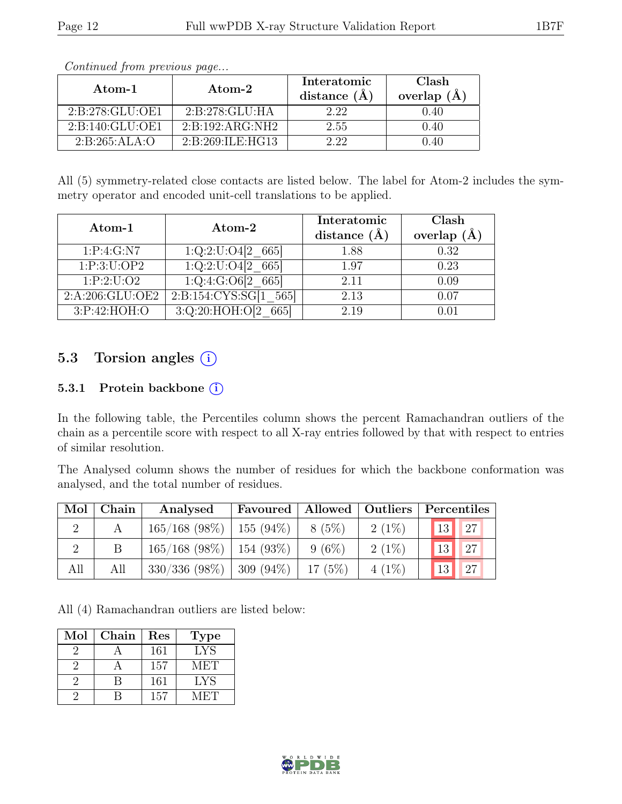| Atom-1              | Atom-2              | Interatomic<br>distance (A) | Clash<br>overlap $(A)$ |
|---------------------|---------------------|-----------------------------|------------------------|
| 2:B:278:GLU:OE1     | 2:B:278:GLU:HA      | 2.22                        | 0.40                   |
| 2: B: 140: GLU: OE1 | 2:B:192:ARG:NH2     | 2.55                        | 0.40                   |
| 2:B:265:ALA:O       | 2: B:269: ILE: HG13 | 9 99                        | 0.40                   |

All (5) symmetry-related close contacts are listed below. The label for Atom-2 includes the symmetry operator and encoded unit-cell translations to be applied.

| Atom-1          | Atom-2                          | Interatomic<br>distance $(\AA)$ | Clash<br>overlap $(A)$ |
|-----------------|---------------------------------|---------------------------------|------------------------|
| 1: P: 4: G: N7  | $\overline{1:Q:2:U:O4[2\_665]}$ | 1.88                            | 0.32                   |
| 1:P:3:U:OP2     | 1:Q:2:U:O4[2]<br>665            | 1.97                            | 0.23                   |
| 1:P:2:U:O2      | $\overline{1:Q:4:G:O6[2\_665]}$ | 2.11                            | 0.09                   |
| 2:A:206:GLU:OE2 | 2: B: 154: CYS: SG[1]<br>565    | 2.13                            | 0.07                   |
| 3:P:42:HOH:O    | 3:Q:20:HOH:O[2]<br>665          | 2.19                            |                        |

### 5.3 Torsion angles (i)

#### 5.3.1 Protein backbone (i)

In the following table, the Percentiles column shows the percent Ramachandran outliers of the chain as a percentile score with respect to all X-ray entries followed by that with respect to entries of similar resolution.

The Analysed column shows the number of residues for which the backbone conformation was analysed, and the total number of residues.

| Mol | Chain | Analysed                      | Favoured   Allowed   Outliers |          |          | Percentiles         |
|-----|-------|-------------------------------|-------------------------------|----------|----------|---------------------|
|     |       | $165/168$ (98\%)              | $155(94\%)$                   | $8(5\%)$ | $2(1\%)$ | <sup>27</sup><br>13 |
|     |       | $165/168$ (98\%)              | $154(93\%)$                   | $9(6\%)$ | $2(1\%)$ | $\vert$ 27<br>13    |
| All | All   | $330/336$ (98\%)   309 (94\%) |                               | 17(5%)   | $4(1\%)$ | <sup>27</sup><br>13 |

All (4) Ramachandran outliers are listed below:

| $\operatorname{Mol}$ | Chain | Res | <b>Type</b> |
|----------------------|-------|-----|-------------|
|                      |       | 161 | <b>LYS</b>  |
|                      |       | 157 | <b>MET</b>  |
|                      |       | 161 | <b>LYS</b>  |
|                      |       | 157 | VLETI       |

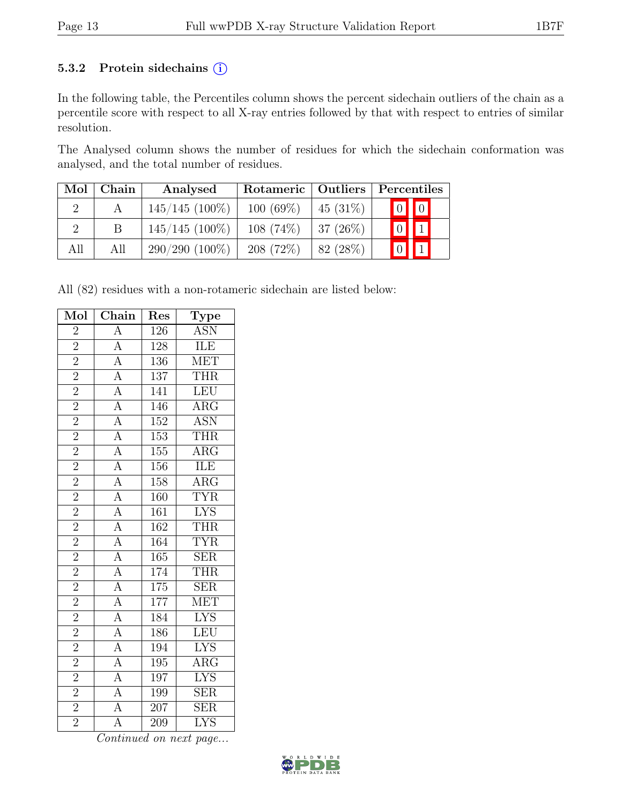#### 5.3.2 Protein sidechains (i)

In the following table, the Percentiles column shows the percent sidechain outliers of the chain as a percentile score with respect to all X-ray entries followed by that with respect to entries of similar resolution.

The Analysed column shows the number of residues for which the sidechain conformation was analysed, and the total number of residues.

| Mol | Chain | Analysed         | Rotameric   Outliers |             |             | Percentiles             |  |
|-----|-------|------------------|----------------------|-------------|-------------|-------------------------|--|
|     |       | $145/145$ (100%) | $100(69\%)$          | $45(31\%)$  |             | $\boxed{0}$ $\boxed{0}$ |  |
|     |       | $145/145$ (100%) | $108(74\%)$          | 37 $(26\%)$ | $\boxed{0}$ | $\boxed{1}$             |  |
| All | All   | $290/290(100\%)$ | $208(72\%)$          | 82 (28\%)   |             |                         |  |

All (82) residues with a non-rotameric sidechain are listed below:

| Mol                                   | Chain                                                                                                                                                                                                                                                                                                                                                                                        | Res              | $\overline{\text{Type}}$                   |
|---------------------------------------|----------------------------------------------------------------------------------------------------------------------------------------------------------------------------------------------------------------------------------------------------------------------------------------------------------------------------------------------------------------------------------------------|------------------|--------------------------------------------|
| $\overline{2}$                        |                                                                                                                                                                                                                                                                                                                                                                                              | 126              | <b>ASN</b>                                 |
| $\overline{2}$                        |                                                                                                                                                                                                                                                                                                                                                                                              | 128              | <b>ILE</b>                                 |
| $\overline{2}$                        |                                                                                                                                                                                                                                                                                                                                                                                              | 136              | <b>MET</b>                                 |
| $\overline{2}$                        |                                                                                                                                                                                                                                                                                                                                                                                              | $\overline{137}$ | <b>THR</b>                                 |
| $\frac{2}{2}$                         |                                                                                                                                                                                                                                                                                                                                                                                              | 141              | LEU                                        |
|                                       |                                                                                                                                                                                                                                                                                                                                                                                              | 146              | $\overline{\text{ARG}}$                    |
| $\overline{2}$                        |                                                                                                                                                                                                                                                                                                                                                                                              | 152              | <b>ASN</b>                                 |
| $\overline{2}$                        |                                                                                                                                                                                                                                                                                                                                                                                              | 153              | $\overline{\text{THR}}$                    |
| $\overline{2}$                        |                                                                                                                                                                                                                                                                                                                                                                                              | $\overline{155}$ | $\overline{\text{ARG}}$                    |
| $\frac{\sqrt{2}}{2}$<br>$\frac{2}{2}$ |                                                                                                                                                                                                                                                                                                                                                                                              | 156              | <b>ILE</b>                                 |
|                                       |                                                                                                                                                                                                                                                                                                                                                                                              | 158              | $\overline{\text{ARG}}$                    |
|                                       |                                                                                                                                                                                                                                                                                                                                                                                              | 160              | <b>TYR</b>                                 |
|                                       |                                                                                                                                                                                                                                                                                                                                                                                              | $\overline{161}$ | $\frac{\overline{\text{LYS}}}{\text{THR}}$ |
| $\overline{2}$                        |                                                                                                                                                                                                                                                                                                                                                                                              | $\overline{162}$ |                                            |
| $\overline{2}$                        |                                                                                                                                                                                                                                                                                                                                                                                              | 164              | <b>TYR</b>                                 |
| $\frac{2}{2}$                         |                                                                                                                                                                                                                                                                                                                                                                                              | 165              | $\overline{\text{SER}}$                    |
|                                       |                                                                                                                                                                                                                                                                                                                                                                                              | 174              | <b>THR</b>                                 |
| $\overline{2}$                        |                                                                                                                                                                                                                                                                                                                                                                                              | 175              | $\overline{\text{SER}}$                    |
| $\overline{2}$                        |                                                                                                                                                                                                                                                                                                                                                                                              | 177              | <b>MET</b>                                 |
| $\overline{2}$                        |                                                                                                                                                                                                                                                                                                                                                                                              | 184              | $\overline{\text{LYS}}$                    |
| $\overline{2}$                        |                                                                                                                                                                                                                                                                                                                                                                                              | 186              | LEU                                        |
| $\overline{2}$                        |                                                                                                                                                                                                                                                                                                                                                                                              | 194              | <b>LYS</b>                                 |
| $\overline{2}$                        | $\frac{A}{A} \frac{A}{A} \frac{A}{A} \frac{A}{A} \frac{A}{A} \frac{A}{A} \frac{A}{A} \frac{A}{A} \frac{A}{A} \frac{A}{A} \frac{A}{A} \frac{A}{A} \frac{A}{A} \frac{A}{A} \frac{A}{A} \frac{A}{A} \frac{A}{A} \frac{A}{A} \frac{A}{A} \frac{A}{A} \frac{A}{A} \frac{A}{A} \frac{A}{A} \frac{A}{A} \frac{A}{A} \frac{A}{A} \frac{A}{A} \frac{A}{A} \frac{A}{A} \frac{A}{A} \frac{A}{A} \frac{$ | 195              | $\overline{\text{ARG}}$                    |
| $\overline{2}$                        |                                                                                                                                                                                                                                                                                                                                                                                              | 197              | <b>LYS</b>                                 |
| $\overline{2}$                        |                                                                                                                                                                                                                                                                                                                                                                                              | 199              | $\overline{\text{SER}}$                    |
| $\frac{2}{2}$                         |                                                                                                                                                                                                                                                                                                                                                                                              | $\overline{207}$ | $\overline{\text{SER}}$                    |
|                                       | $\overline{A}$                                                                                                                                                                                                                                                                                                                                                                               | 209              | $\overline{\text{LYS}}$                    |

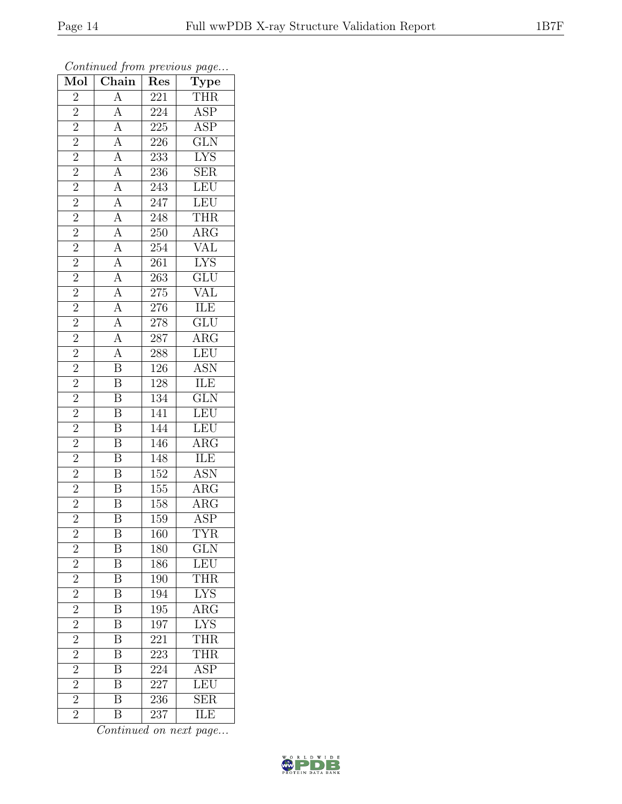| $\overline{\text{Mol}}$                              | $\overline{\text{Chain}}$                                                                                                                                                                                                                                                                                                                                                     | $\overline{\text{Res}}$ | $\sum_{i=1}^{\infty}$<br><b>Type</b> |
|------------------------------------------------------|-------------------------------------------------------------------------------------------------------------------------------------------------------------------------------------------------------------------------------------------------------------------------------------------------------------------------------------------------------------------------------|-------------------------|--------------------------------------|
| $\overline{2}$                                       | $\overline{A}$                                                                                                                                                                                                                                                                                                                                                                | $\overline{221}$        | $\overline{\text{THR}}$              |
| $\overline{2}$                                       |                                                                                                                                                                                                                                                                                                                                                                               | 224                     | $\overline{\text{ASP}}$              |
| $\overline{2}$                                       |                                                                                                                                                                                                                                                                                                                                                                               | $\overline{225}$        | $\overline{\text{ASP}}$              |
|                                                      |                                                                                                                                                                                                                                                                                                                                                                               | $\overline{226}$        | GLN                                  |
| $\frac{2}{2}$                                        |                                                                                                                                                                                                                                                                                                                                                                               | $\overline{233}$        | <b>LYS</b>                           |
| $\overline{2}$                                       |                                                                                                                                                                                                                                                                                                                                                                               | 236                     | $\overline{\text{SER}}$              |
| $\overline{2}$                                       |                                                                                                                                                                                                                                                                                                                                                                               | $\overline{243}$        | LEU                                  |
| $\overline{2}$                                       |                                                                                                                                                                                                                                                                                                                                                                               | $\frac{247}{ }$         | LEU                                  |
| $\overline{2}$                                       |                                                                                                                                                                                                                                                                                                                                                                               | $\overline{248}$        |                                      |
| $\overline{2}$                                       |                                                                                                                                                                                                                                                                                                                                                                               | $\overline{250}$        | $\frac{\text{THR}}{\text{ARG}}$      |
| $\overline{2}$                                       |                                                                                                                                                                                                                                                                                                                                                                               | 254                     |                                      |
| $\overline{2}$                                       |                                                                                                                                                                                                                                                                                                                                                                               | $\overline{261}$        | $\frac{\text{VAL}}{\text{LYS}}$      |
| $\overline{2}$                                       |                                                                                                                                                                                                                                                                                                                                                                               | 263                     |                                      |
|                                                      |                                                                                                                                                                                                                                                                                                                                                                               | $\overline{275}$        | GLU<br>VAL                           |
| $\frac{2}{2}$                                        |                                                                                                                                                                                                                                                                                                                                                                               | <b>276</b>              |                                      |
| $\overline{2}$                                       |                                                                                                                                                                                                                                                                                                                                                                               | 278                     | $\overline{\text{GLU}}$              |
| $\overline{2}$                                       |                                                                                                                                                                                                                                                                                                                                                                               | 287                     | $\overline{\text{ARG}}$              |
| $\overline{2}$                                       | $\frac{\overline{A}}{\overline{A}}\frac{\overline{A}}{\overline{A}}\frac{\overline{A}}{\overline{A}}\frac{\overline{A}}{\overline{A}}\frac{\overline{A}}{\overline{A}}\frac{\overline{A}}{\overline{A}}\frac{\overline{A}}{\overline{A}}\frac{\overline{A}}{\overline{A}}\frac{\overline{A}}{\overline{A}}\frac{\overline{A}}{\overline{B}}\frac{\overline{B}}{\overline{B}}$ | 288                     | LEU                                  |
| $\frac{1}{2}$                                        |                                                                                                                                                                                                                                                                                                                                                                               | $\overline{126}$        | $\frac{\rm{ASN}}{\rm{ILE}}$          |
| $\overline{2}$                                       |                                                                                                                                                                                                                                                                                                                                                                               | 128                     |                                      |
| $\overline{2}$                                       | $\overline{B}$                                                                                                                                                                                                                                                                                                                                                                | 134                     | $\overline{\text{GLN}}$              |
| $\overline{2}$                                       | $\overline{B}$                                                                                                                                                                                                                                                                                                                                                                | $\overline{141}$        | LEU                                  |
| $\overline{2}$                                       | $\overline{B}$                                                                                                                                                                                                                                                                                                                                                                | 144                     | <b>LEU</b>                           |
| $\overline{2}$                                       | $\overline{\mathbf{B}}$                                                                                                                                                                                                                                                                                                                                                       | 146                     | $\overline{\text{ARG}}$              |
| $\overline{2}$                                       | $\overline{B}$                                                                                                                                                                                                                                                                                                                                                                | 148                     | ILE                                  |
| $\overline{2}$                                       | $\overline{\mathbf{B}}$                                                                                                                                                                                                                                                                                                                                                       | 152                     | <b>ASN</b>                           |
| $\overline{2}$                                       | $\overline{B}$                                                                                                                                                                                                                                                                                                                                                                | $\overline{155}$        | $\overline{\rm{ARG}}$                |
| $\frac{2}{2}$                                        | $\overline{\mathbf{B}}$                                                                                                                                                                                                                                                                                                                                                       | 158                     | $\overline{\text{ARG}}$              |
|                                                      | $\overline{\mathrm{B}}$                                                                                                                                                                                                                                                                                                                                                       | 159                     | <b>ASP</b>                           |
| $\overline{c}$                                       | Β                                                                                                                                                                                                                                                                                                                                                                             | 160                     | TYR                                  |
| $\overline{2}$                                       | $\boldsymbol{B}$                                                                                                                                                                                                                                                                                                                                                              | 180                     | $\overline{\text{GLN}}$              |
| $\overline{2}$                                       | B                                                                                                                                                                                                                                                                                                                                                                             | 186                     | LEU <sup></sup>                      |
| $\frac{2}{2}$                                        | $\overline{\mathrm{B}}$                                                                                                                                                                                                                                                                                                                                                       | 190                     | THR                                  |
|                                                      | $\overline{\mathbf{B}}$                                                                                                                                                                                                                                                                                                                                                       | 194                     | $\frac{L}{YS}$                       |
| $\overline{2}$                                       | $\overline{\mathbf{B}}$                                                                                                                                                                                                                                                                                                                                                       | $195\,$                 | $\overline{\rm{ARG}}$                |
|                                                      | $\overline{\mathrm{B}}$                                                                                                                                                                                                                                                                                                                                                       | 197                     | <b>LYS</b>                           |
| $\frac{\overline{2}}{2}$<br>$\frac{\overline{2}}{2}$ | $\overline{\mathbf{B}}$                                                                                                                                                                                                                                                                                                                                                       | 221                     | THR                                  |
|                                                      | $\overline{\mathrm{B}}$                                                                                                                                                                                                                                                                                                                                                       | 223                     | $\overline{\text{THR}}$              |
|                                                      | $\overline{\mathbf{B}}$                                                                                                                                                                                                                                                                                                                                                       | 224                     | $\overline{\text{ASP}}$              |
| $\overline{2}$                                       | $\overline{\mathrm{B}}$                                                                                                                                                                                                                                                                                                                                                       | 227                     | LEU                                  |
| $\overline{2}$                                       | $\overline{\mathrm{B}}$                                                                                                                                                                                                                                                                                                                                                       | 236                     | $\overline{\text{SER}}$              |
| $\overline{2}$                                       | $\overline{\mathrm{B}}$                                                                                                                                                                                                                                                                                                                                                       | $\overline{2}37$        | ILE                                  |

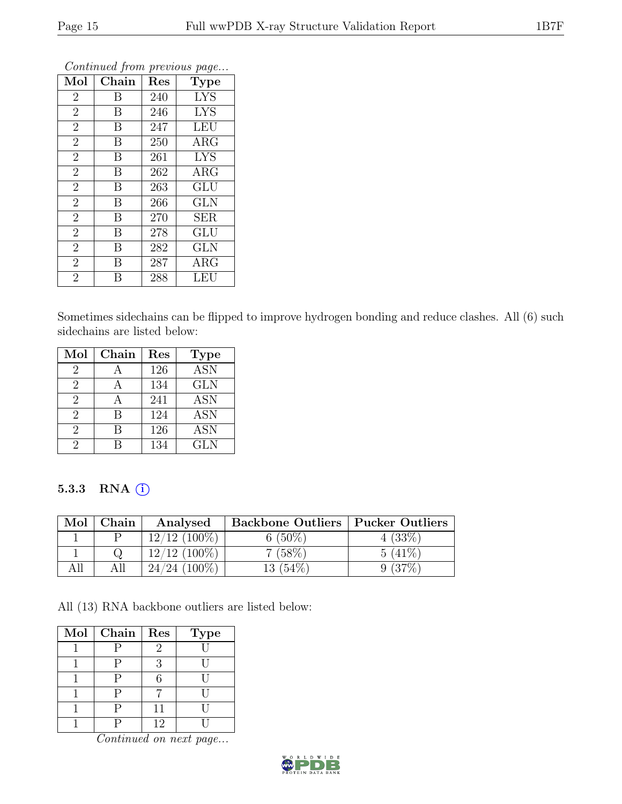| Mol            | Chain            | Res | Type       |
|----------------|------------------|-----|------------|
| $\overline{2}$ | B                | 240 | <b>LYS</b> |
| $\overline{2}$ | B                | 246 | <b>LYS</b> |
| $\overline{2}$ | B                | 247 | <b>LEU</b> |
| $\overline{2}$ | B                | 250 | $\rm{ARG}$ |
| $\overline{2}$ | B                | 261 | <b>LYS</b> |
| $\overline{2}$ | B                | 262 | $\rm{ARG}$ |
| $\overline{2}$ | B                | 263 | GLU        |
| $\overline{2}$ | B                | 266 | <b>GLN</b> |
| $\overline{2}$ | B                | 270 | <b>SER</b> |
| $\overline{2}$ | $\boldsymbol{B}$ | 278 | GLU        |
| $\overline{2}$ | B                | 282 | GLN        |
| $\overline{2}$ | B                | 287 | $\rm{ARG}$ |
| $\overline{2}$ | B                | 288 | LEU        |

Sometimes sidechains can be flipped to improve hydrogen bonding and reduce clashes. All (6) such sidechains are listed below:

| Mol                         | Chain | Res | <b>Type</b>               |
|-----------------------------|-------|-----|---------------------------|
| 2                           |       | 126 | $\overline{\mathrm{ASN}}$ |
| 2                           |       | 134 | <b>GLN</b>                |
| $\mathcal{D}_{\mathcal{L}}$ |       | 241 | ASN                       |
| $\overline{2}$              | В     | 124 | <b>ASN</b>                |
| $\mathcal{D}_{\mathcal{L}}$ | В     | 126 | ASN                       |
| 2                           |       | 134 | <b>GLN</b>                |

#### 5.3.3 RNA (i)

| Mol | Chain | Analysed        | <b>Backbone Outliers   Pucker Outliers</b> |           |
|-----|-------|-----------------|--------------------------------------------|-----------|
|     |       | $12/12$ (100\%) | $6(50\%)$                                  | 4(33%)    |
|     |       | $12/12$ (100\%) | 7(58%)                                     | $5(41\%)$ |
|     | All   | $24/24$ (100%)  | $13(54\%)$                                 | $9(37\%)$ |

All (13) RNA backbone outliers are listed below:

| $Mol$   Chain | Res | <b>Type</b> |
|---------------|-----|-------------|
|               |     |             |
| Ρ             |     |             |
| Р             |     |             |
| Р             |     |             |
| Р             | 11  |             |
|               | 12  |             |

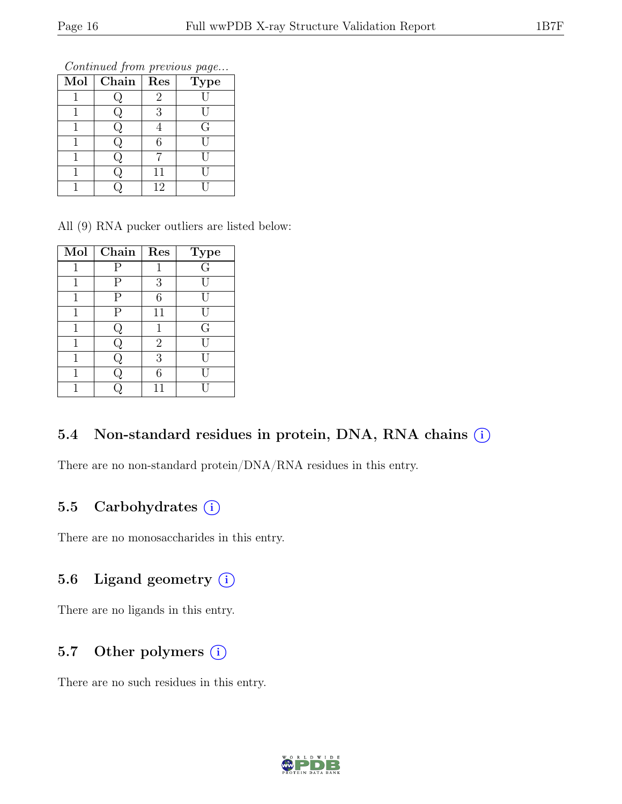Continued from previous page...

| Mol | Chain | Res            | <b>Type</b> |
|-----|-------|----------------|-------------|
|     |       | $\overline{2}$ |             |
|     |       | 3              |             |
|     |       |                | G           |
|     |       | 6              |             |
|     |       |                |             |
|     |       | 11             |             |
|     |       | 12             |             |

All (9) RNA pucker outliers are listed below:

| Mol | Chain | Res            | <b>Type</b>    |
|-----|-------|----------------|----------------|
| 1   | Р     |                | $\overline{G}$ |
| 1   | Ρ     | 3              | Ħ              |
| 1   | Ρ     | 6              |                |
| 1   | Ρ     | 11             |                |
| 1   | پ     |                | G              |
|     |       | $\overline{2}$ |                |
| 1   | J     | 3              |                |
| 1   |       | 6              |                |
|     |       | 11             |                |

#### 5.4 Non-standard residues in protein, DNA, RNA chains  $(i)$

There are no non-standard protein/DNA/RNA residues in this entry.

#### 5.5 Carbohydrates  $(i)$

There are no monosaccharides in this entry.

#### 5.6 Ligand geometry  $(i)$

There are no ligands in this entry.

### 5.7 Other polymers  $(i)$

There are no such residues in this entry.

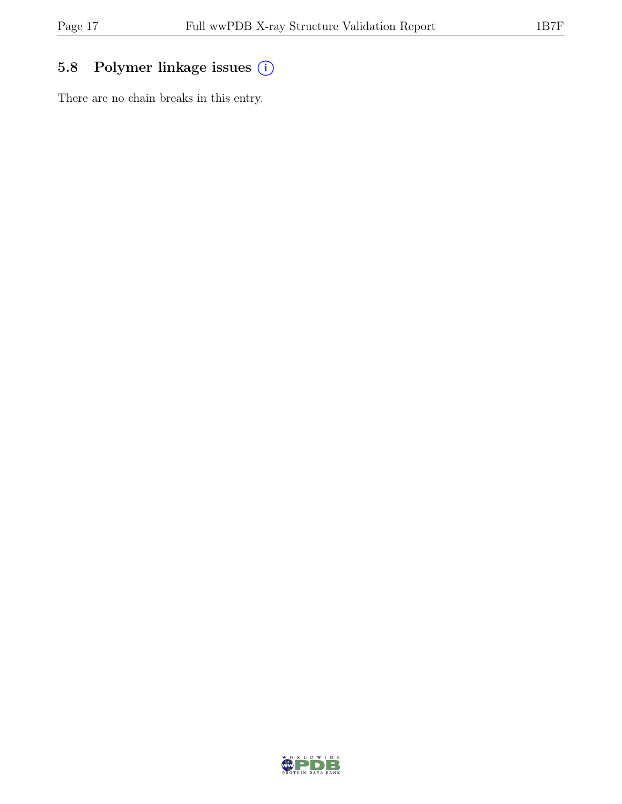### 5.8 Polymer linkage issues (i)

There are no chain breaks in this entry.